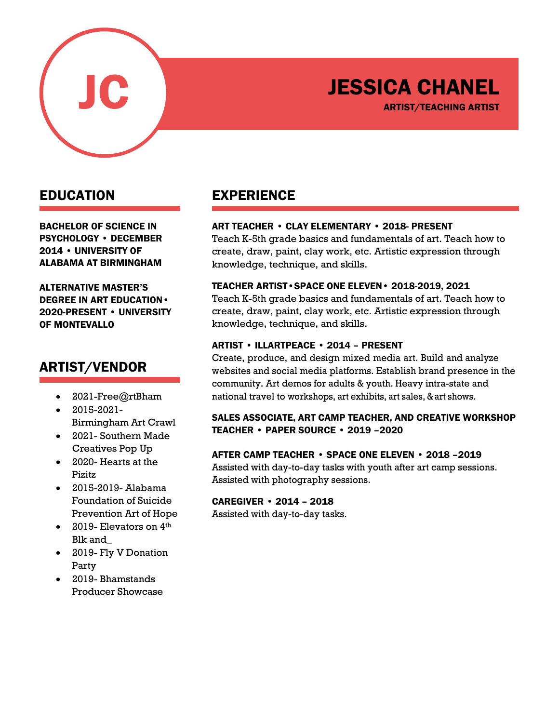

# JESSICA CHANEL

ARTIST/TEACHING ARTIST

### EDUCATION

BACHELOR OF SCIENCE IN PSYCHOLOGY • DECEMBER 2014 • UNIVERSITY OF ALABAMA AT BIRMINGHAM

ALTERNATIVE MASTER'S DEGREE IN ART EDUCATION• 2020-PRESENT • UNIVERSITY OF MONTEVALLO

## ARTIST/VENDOR

- 2021-Free@rtBham
- 2015-2021- Birmingham Art Crawl
- 2021- Southern Made Creatives Pop Up
- 2020- Hearts at the Pizitz
- 2015-2019- Alabama Foundation of Suicide Prevention Art of Hope
- 2019- Elevators on  $4<sup>th</sup>$ Blk and\_
- 2019- Fly V Donation Party
- 2019- Bhamstands Producer Showcase

## EXPERIENCE

#### ART TEACHER • CLAY ELEMENTARY • 2018- PRESENT

Teach K-5th grade basics and fundamentals of art. Teach how to create, draw, paint, clay work, etc. Artistic expression through knowledge, technique, and skills.

#### TEACHER ARTIST•SPACE ONE ELEVEN• 2018-2019, 2021

Teach K-5th grade basics and fundamentals of art. Teach how to create, draw, paint, clay work, etc. Artistic expression through knowledge, technique, and skills.

#### ARTIST • ILLARTPEACE • 2014 – PRESENT

Create, produce, and design mixed media art. Build and analyze websites and social media platforms. Establish brand presence in the community. Art demos for adults & youth. Heavy intra-state and national travel to workshops, art exhibits, art sales, & art shows.

#### SALES ASSOCIATE, ART CAMP TEACHER, AND CREATIVE WORKSHOP TEACHER • PAPER SOURCE • 2019 –2020

#### AFTER CAMP TEACHER • SPACE ONE ELEVEN • 2018 –2019

Assisted with day-to-day tasks with youth after art camp sessions. Assisted with photography sessions.

#### CAREGIVER • 2014 – 2018

Assisted with day-to-day tasks.